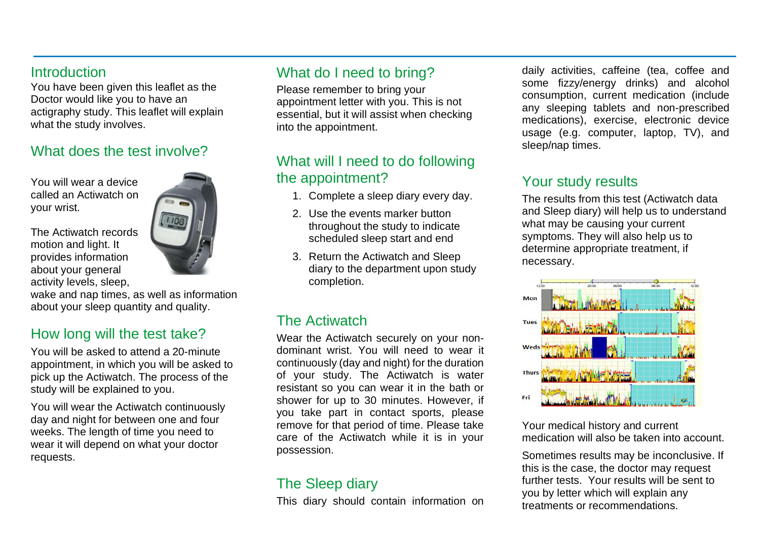#### **Introduction**

You have been given this leaflet as the Doctor would like you to have an actigraphy study. This leaflet will explain what the study involves.

#### What does the test involve?

You will wear a device called an Actiwatch on your wrist.

The Actiwatch records motion and light. It provides information about your general activity levels, sleep,



wake and nap times, as well as information about your sleep quantity and quality.

## How long will the test take?

You will be asked to attend a 20-minute appointment, in which you will be asked to pick up the Actiwatch. The process of the study will be explained to you.

You will wear the Actiwatch continuously day and night for between one and four weeks. The length of time you need to wear it will depend on what your doctor requests.

# What do I need to bring?

Please remember to bring your appointment letter with you. This is not essential, but it will assist when checking into the appointment.

# What will I need to do following the appointment?

- 1. Complete a sleep diary every day.
- 2. Use the events marker button throughout the study to indicate scheduled sleep start and end
- 3. Return the Actiwatch and Sleep diary to the department upon study completion.

## The Actiwatch

Wear the Actiwatch securely on your nondominant wrist. You will need to wear it continuously (day and night) for the duration of your study. The Actiwatch is water resistant so you can wear it in the bath or shower for up to 30 minutes. However, if you take part in contact sports, please remove for that period of time. Please take care of the Actiwatch while it is in your possession.

## The Sleep diary

This diary should contain information on

daily activities, caffeine (tea, coffee and some fizzy/energy drinks) and alcohol consumption, current medication (include any sleeping tablets and non-prescribed medications), exercise, electronic device usage (e.g. computer, laptop, TV), and sleep/nap times.

# Your study results

The results from this test (Actiwatch data and Sleep diary) will help us to understand what may be causing your current symptoms. They will also help us to determine appropriate treatment, if necessary.



Your medical history and current medication will also be taken into account.

Sometimes results may be inconclusive. If this is the case, the doctor may request further tests. Your results will be sent to you by letter which will explain any treatments or recommendations.